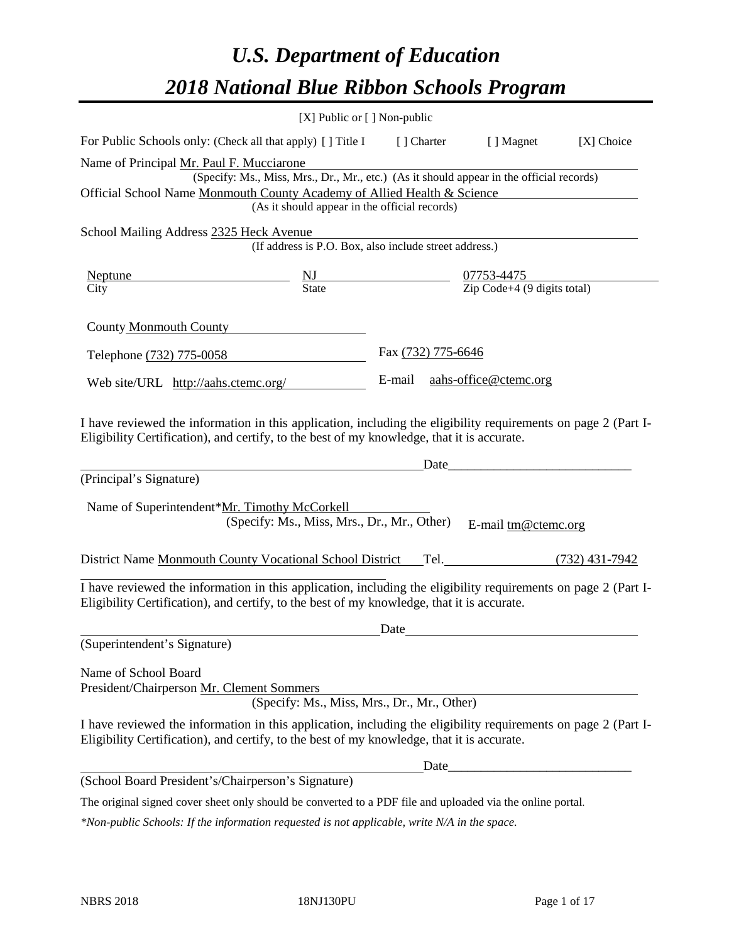# *U.S. Department of Education 2018 National Blue Ribbon Schools Program*

|                                                                                                                                                                                                                                                                                         | $[X]$ Public or $[ \ ]$ Non-public            |                    |                                                                                          |            |
|-----------------------------------------------------------------------------------------------------------------------------------------------------------------------------------------------------------------------------------------------------------------------------------------|-----------------------------------------------|--------------------|------------------------------------------------------------------------------------------|------------|
| For Public Schools only: (Check all that apply) [] Title I [] Charter [] Magnet                                                                                                                                                                                                         |                                               |                    |                                                                                          | [X] Choice |
| Name of Principal Mr. Paul F. Mucciarone<br>Official School Name Monmouth County Academy of Allied Health & Science                                                                                                                                                                     | (As it should appear in the official records) |                    | (Specify: Ms., Miss, Mrs., Dr., Mr., etc.) (As it should appear in the official records) |            |
| School Mailing Address 2325 Heck Avenue                                                                                                                                                                                                                                                 |                                               |                    | eck Avenue<br>(If address is P.O. Box, also include street address.)                     |            |
| $\frac{\text{Neptune}}{\text{Citv}}$ $\frac{\text{NJ}}{\text{State}}$ $\frac{07753-4475}{\text{Zip Code}+4 (9 digits total)}$<br>City                                                                                                                                                   |                                               |                    |                                                                                          |            |
| County Monmouth County                                                                                                                                                                                                                                                                  |                                               |                    |                                                                                          |            |
| Telephone (732) 775-0058                                                                                                                                                                                                                                                                |                                               | Fax (732) 775-6646 |                                                                                          |            |
| Web site/URL http://aahs.ctemc.org/ E-mail aahs-office@ctemc.org                                                                                                                                                                                                                        |                                               |                    |                                                                                          |            |
| I have reviewed the information in this application, including the eligibility requirements on page 2 (Part I-<br>Eligibility Certification), and certify, to the best of my knowledge, that it is accurate.<br>(Principal's Signature)<br>Name of Superintendent*Mr. Timothy McCorkell | (Specify: Ms., Miss, Mrs., Dr., Mr., Other)   |                    | E-mail tm@ctemc.org                                                                      |            |
| District Name Monmouth County Vocational School District Tel. (732) 431-7942                                                                                                                                                                                                            |                                               |                    |                                                                                          |            |
| I have reviewed the information in this application, including the eligibility requirements on page 2 (Part I-<br>Eligibility Certification), and certify, to the best of my knowledge, that it is accurate.                                                                            |                                               | Date               |                                                                                          |            |
| (Superintendent's Signature)                                                                                                                                                                                                                                                            |                                               |                    |                                                                                          |            |
| Name of School Board<br>President/Chairperson Mr. Clement Sommers                                                                                                                                                                                                                       | (Specify: Ms., Miss, Mrs., Dr., Mr., Other)   |                    |                                                                                          |            |
| I have reviewed the information in this application, including the eligibility requirements on page 2 (Part I-                                                                                                                                                                          |                                               |                    |                                                                                          |            |
| Eligibility Certification), and certify, to the best of my knowledge, that it is accurate.                                                                                                                                                                                              |                                               |                    |                                                                                          |            |
| (School Board President's/Chairperson's Signature)                                                                                                                                                                                                                                      |                                               |                    |                                                                                          |            |

The original signed cover sheet only should be converted to a PDF file and uploaded via the online portal.

*\*Non-public Schools: If the information requested is not applicable, write N/A in the space.*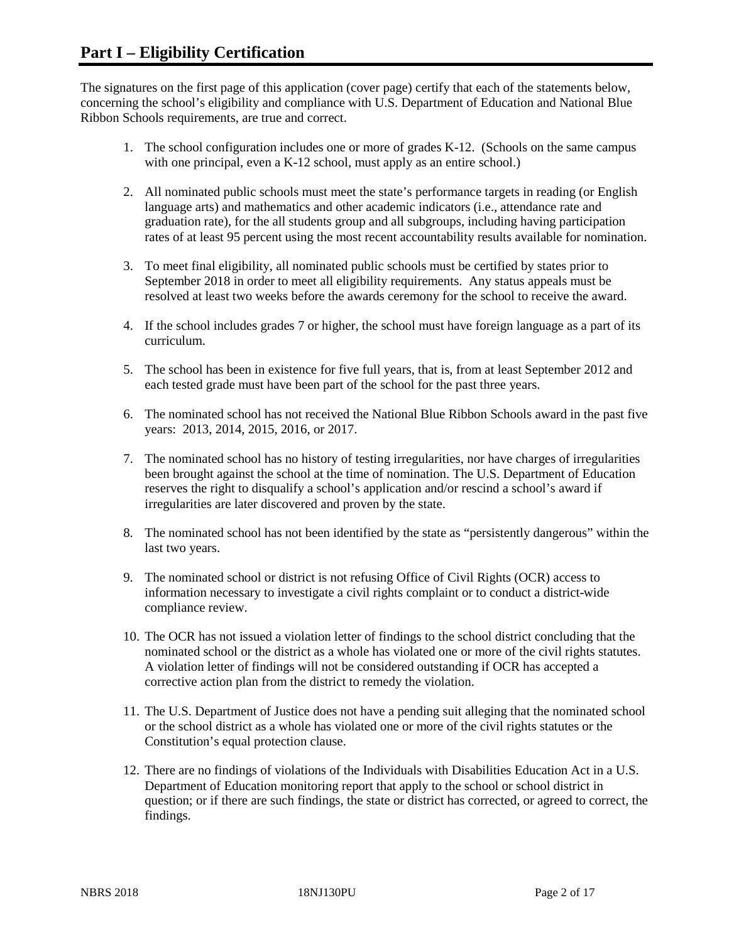The signatures on the first page of this application (cover page) certify that each of the statements below, concerning the school's eligibility and compliance with U.S. Department of Education and National Blue Ribbon Schools requirements, are true and correct.

- 1. The school configuration includes one or more of grades K-12. (Schools on the same campus with one principal, even a K-12 school, must apply as an entire school.)
- 2. All nominated public schools must meet the state's performance targets in reading (or English language arts) and mathematics and other academic indicators (i.e., attendance rate and graduation rate), for the all students group and all subgroups, including having participation rates of at least 95 percent using the most recent accountability results available for nomination.
- 3. To meet final eligibility, all nominated public schools must be certified by states prior to September 2018 in order to meet all eligibility requirements. Any status appeals must be resolved at least two weeks before the awards ceremony for the school to receive the award.
- 4. If the school includes grades 7 or higher, the school must have foreign language as a part of its curriculum.
- 5. The school has been in existence for five full years, that is, from at least September 2012 and each tested grade must have been part of the school for the past three years.
- 6. The nominated school has not received the National Blue Ribbon Schools award in the past five years: 2013, 2014, 2015, 2016, or 2017.
- 7. The nominated school has no history of testing irregularities, nor have charges of irregularities been brought against the school at the time of nomination. The U.S. Department of Education reserves the right to disqualify a school's application and/or rescind a school's award if irregularities are later discovered and proven by the state.
- 8. The nominated school has not been identified by the state as "persistently dangerous" within the last two years.
- 9. The nominated school or district is not refusing Office of Civil Rights (OCR) access to information necessary to investigate a civil rights complaint or to conduct a district-wide compliance review.
- 10. The OCR has not issued a violation letter of findings to the school district concluding that the nominated school or the district as a whole has violated one or more of the civil rights statutes. A violation letter of findings will not be considered outstanding if OCR has accepted a corrective action plan from the district to remedy the violation.
- 11. The U.S. Department of Justice does not have a pending suit alleging that the nominated school or the school district as a whole has violated one or more of the civil rights statutes or the Constitution's equal protection clause.
- 12. There are no findings of violations of the Individuals with Disabilities Education Act in a U.S. Department of Education monitoring report that apply to the school or school district in question; or if there are such findings, the state or district has corrected, or agreed to correct, the findings.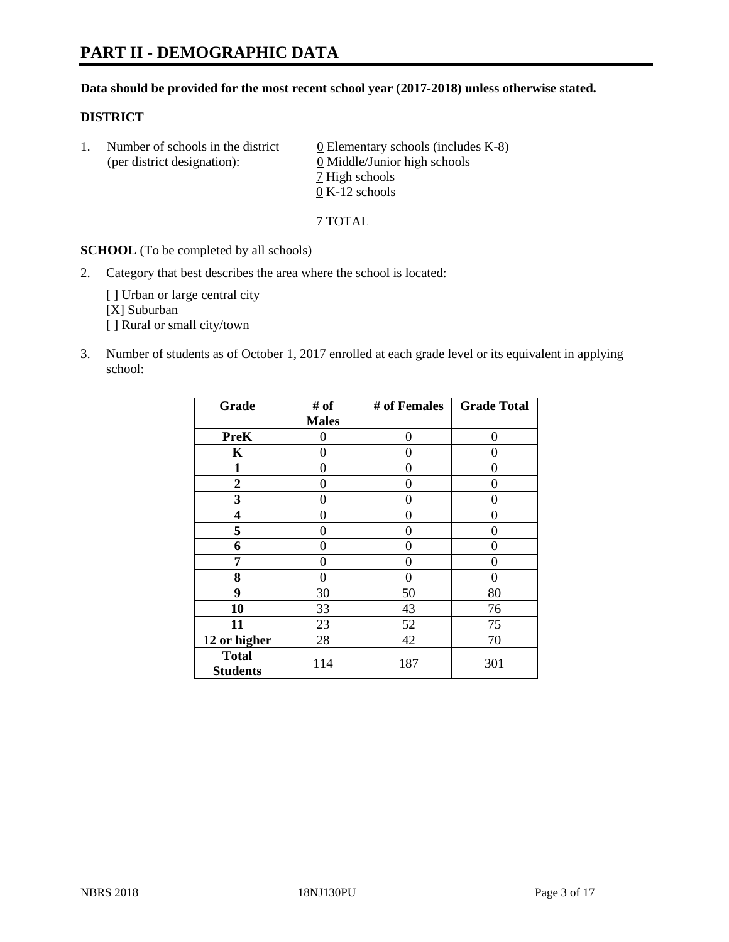#### **Data should be provided for the most recent school year (2017-2018) unless otherwise stated.**

#### **DISTRICT**

1. Number of schools in the district  $0$  Elementary schools (includes K-8) (per district designation): 0 Middle/Junior high schools 7 High schools 0 K-12 schools

7 TOTAL

**SCHOOL** (To be completed by all schools)

2. Category that best describes the area where the school is located:

[] Urban or large central city [X] Suburban [] Rural or small city/town

3. Number of students as of October 1, 2017 enrolled at each grade level or its equivalent in applying school:

| Grade                           | # of         | # of Females | <b>Grade Total</b> |
|---------------------------------|--------------|--------------|--------------------|
|                                 | <b>Males</b> |              |                    |
| <b>PreK</b>                     | 0            | 0            | 0                  |
| K                               | 0            | 0            | 0                  |
| $\mathbf{1}$                    | 0            | 0            | 0                  |
| 2                               | 0            | 0            | 0                  |
| 3                               | 0            | 0            | 0                  |
| 4                               | 0            | 0            | 0                  |
| 5                               | 0            | 0            | 0                  |
| 6                               | 0            | 0            | 0                  |
| 7                               | 0            | 0            | 0                  |
| 8                               | 0            | 0            | 0                  |
| 9                               | 30           | 50           | 80                 |
| 10                              | 33           | 43           | 76                 |
| 11                              | 23           | 52           | 75                 |
| 12 or higher                    | 28           | 42           | 70                 |
| <b>Total</b><br><b>Students</b> | 114          | 187          | 301                |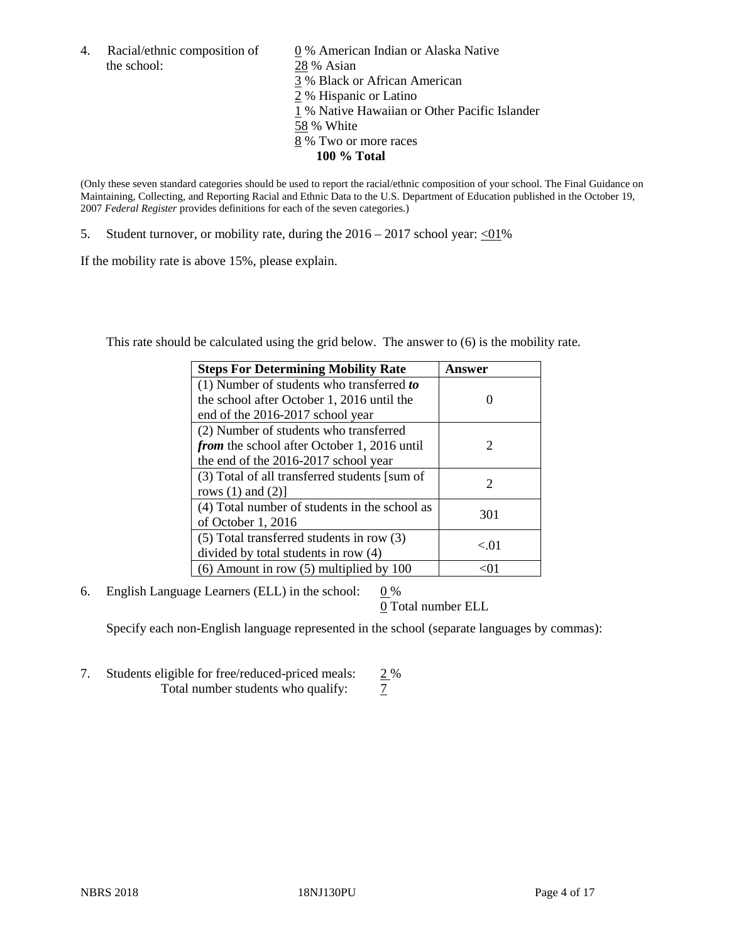the school: 28 % Asian

4. Racial/ethnic composition of  $\qquad 0\%$  American Indian or Alaska Native 3 % Black or African American 2 % Hispanic or Latino 1 % Native Hawaiian or Other Pacific Islander 58 % White 8 % Two or more races **100 % Total**

(Only these seven standard categories should be used to report the racial/ethnic composition of your school. The Final Guidance on Maintaining, Collecting, and Reporting Racial and Ethnic Data to the U.S. Department of Education published in the October 19, 2007 *Federal Register* provides definitions for each of the seven categories.)

5. Student turnover, or mobility rate, during the  $2016 - 2017$  school year: <01%

If the mobility rate is above 15%, please explain.

This rate should be calculated using the grid below. The answer to (6) is the mobility rate.

| <b>Steps For Determining Mobility Rate</b>         | Answer   |
|----------------------------------------------------|----------|
| $(1)$ Number of students who transferred to        |          |
| the school after October 1, 2016 until the         |          |
| end of the 2016-2017 school year                   |          |
| (2) Number of students who transferred             |          |
| <i>from</i> the school after October 1, 2016 until | 2        |
| the end of the 2016-2017 school year               |          |
| (3) Total of all transferred students [sum of      |          |
| rows $(1)$ and $(2)$ ]                             | 2        |
| (4) Total number of students in the school as      |          |
| of October 1, 2016                                 | 301      |
| (5) Total transferred students in row (3)          |          |
| divided by total students in row (4)               | ${<}.01$ |
| $(6)$ Amount in row $(5)$ multiplied by 100        |          |

6. English Language Learners (ELL) in the school:  $0\%$ 

0 Total number ELL

Specify each non-English language represented in the school (separate languages by commas):

7. Students eligible for free/reduced-priced meals:  $\frac{2\%}{7}$ <br>Total number students who qualify:  $\frac{2\%}{7}$ Total number students who qualify: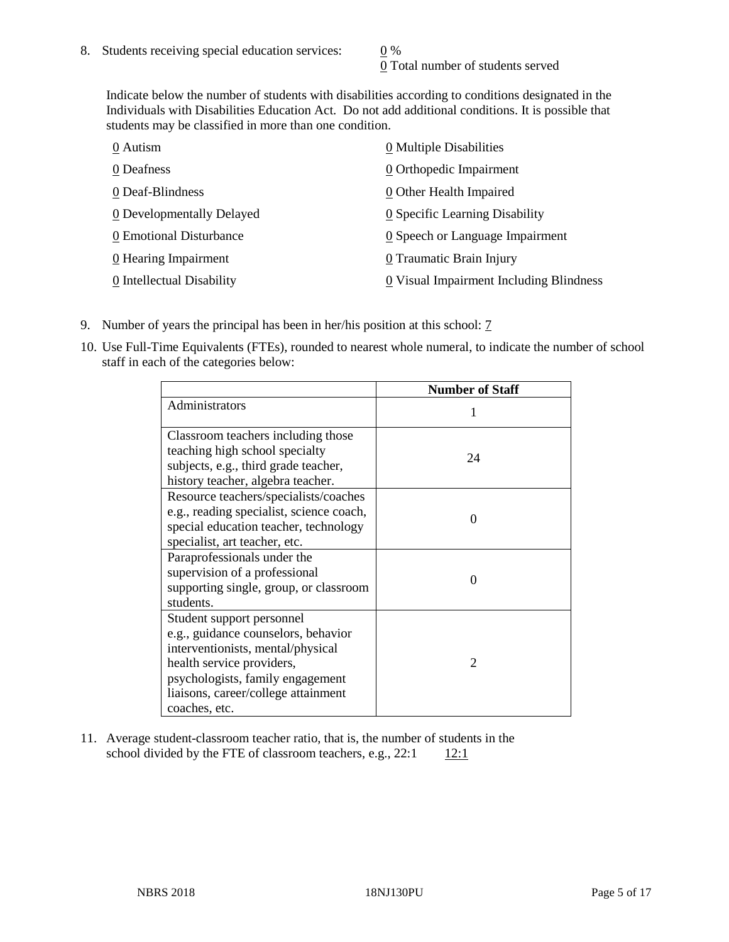0 Total number of students served

Indicate below the number of students with disabilities according to conditions designated in the Individuals with Disabilities Education Act. Do not add additional conditions. It is possible that students may be classified in more than one condition.

| 0 Autism                  | 0 Multiple Disabilities                 |
|---------------------------|-----------------------------------------|
| 0 Deafness                | 0 Orthopedic Impairment                 |
| 0 Deaf-Blindness          | 0 Other Health Impaired                 |
| 0 Developmentally Delayed | 0 Specific Learning Disability          |
| 0 Emotional Disturbance   | 0 Speech or Language Impairment         |
| 0 Hearing Impairment      | 0 Traumatic Brain Injury                |
| 0 Intellectual Disability | 0 Visual Impairment Including Blindness |

- 9. Number of years the principal has been in her/his position at this school: 7
- 10. Use Full-Time Equivalents (FTEs), rounded to nearest whole numeral, to indicate the number of school staff in each of the categories below:

|                                                                                                                                                                                                                                | <b>Number of Staff</b> |
|--------------------------------------------------------------------------------------------------------------------------------------------------------------------------------------------------------------------------------|------------------------|
| Administrators                                                                                                                                                                                                                 |                        |
| Classroom teachers including those<br>teaching high school specialty<br>subjects, e.g., third grade teacher,<br>history teacher, algebra teacher.                                                                              | 24                     |
| Resource teachers/specialists/coaches<br>e.g., reading specialist, science coach,<br>special education teacher, technology<br>specialist, art teacher, etc.                                                                    | 0                      |
| Paraprofessionals under the<br>supervision of a professional<br>supporting single, group, or classroom<br>students.                                                                                                            | $\Omega$               |
| Student support personnel<br>e.g., guidance counselors, behavior<br>interventionists, mental/physical<br>health service providers,<br>psychologists, family engagement<br>liaisons, career/college attainment<br>coaches, etc. | $\mathfrak{D}$         |

11. Average student-classroom teacher ratio, that is, the number of students in the school divided by the FTE of classroom teachers, e.g.,  $22:1$  12:1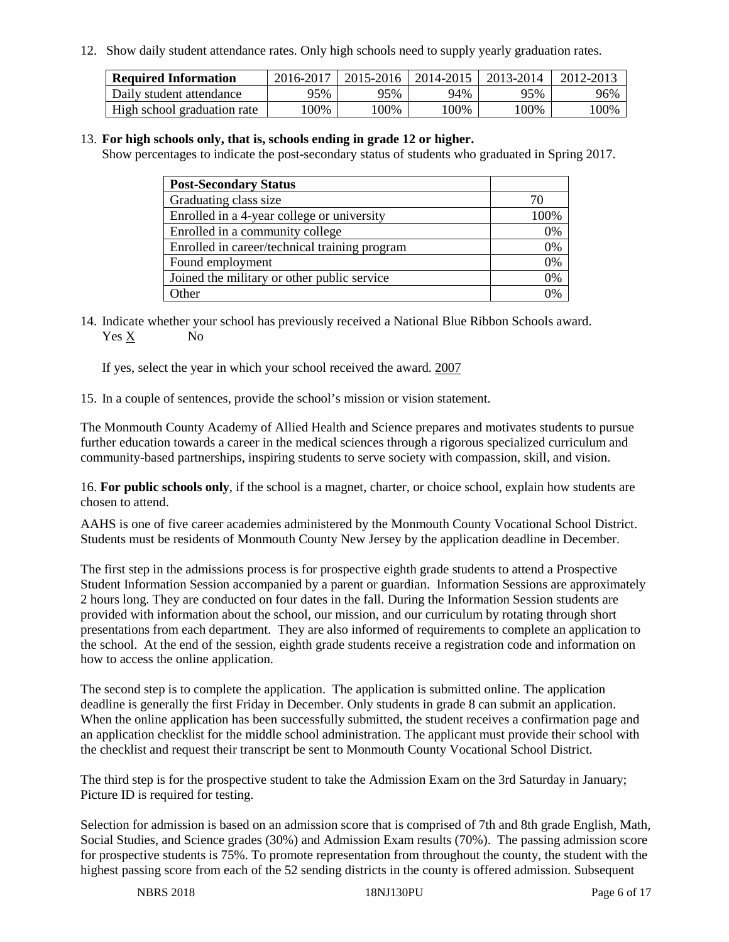12. Show daily student attendance rates. Only high schools need to supply yearly graduation rates.

| <b>Required Information</b> | 2016-2017 | 2015-2016 | 2014-2015 | 2013-2014 | 2012-2013 |
|-----------------------------|-----------|-----------|-----------|-----------|-----------|
| Daily student attendance    | 95%       | 95%       | 94%       | 95%       | 96%       |
| High school graduation rate | 00%       | 100%      | 00%       | 100%      | 00%       |

#### 13. **For high schools only, that is, schools ending in grade 12 or higher.**

Show percentages to indicate the post-secondary status of students who graduated in Spring 2017.

| <b>Post-Secondary Status</b>                  |                |
|-----------------------------------------------|----------------|
| Graduating class size                         |                |
| Enrolled in a 4-year college or university    | 100\%          |
| Enrolled in a community college               | 0%             |
| Enrolled in career/technical training program | 0%             |
| Found employment                              | 0%             |
| Joined the military or other public service   | 0%             |
| Other                                         | $\frac{10}{6}$ |

14. Indicate whether your school has previously received a National Blue Ribbon Schools award. Yes X No

If yes, select the year in which your school received the award. 2007

15. In a couple of sentences, provide the school's mission or vision statement.

The Monmouth County Academy of Allied Health and Science prepares and motivates students to pursue further education towards a career in the medical sciences through a rigorous specialized curriculum and community-based partnerships, inspiring students to serve society with compassion, skill, and vision.

16. **For public schools only**, if the school is a magnet, charter, or choice school, explain how students are chosen to attend.

AAHS is one of five career academies administered by the Monmouth County Vocational School District. Students must be residents of Monmouth County New Jersey by the application deadline in December.

The first step in the admissions process is for prospective eighth grade students to attend a Prospective Student Information Session accompanied by a parent or guardian. Information Sessions are approximately 2 hours long. They are conducted on four dates in the fall. During the Information Session students are provided with information about the school, our mission, and our curriculum by rotating through short presentations from each department. They are also informed of requirements to complete an application to the school. At the end of the session, eighth grade students receive a registration code and information on how to access the online application.

The second step is to complete the application. The application is submitted online. The application deadline is generally the first Friday in December. Only students in grade 8 can submit an application. When the online application has been successfully submitted, the student receives a confirmation page and an application checklist for the middle school administration. The applicant must provide their school with the checklist and request their transcript be sent to Monmouth County Vocational School District.

The third step is for the prospective student to take the Admission Exam on the 3rd Saturday in January; Picture ID is required for testing.

Selection for admission is based on an admission score that is comprised of 7th and 8th grade English, Math, Social Studies, and Science grades (30%) and Admission Exam results (70%). The passing admission score for prospective students is 75%. To promote representation from throughout the county, the student with the highest passing score from each of the 52 sending districts in the county is offered admission. Subsequent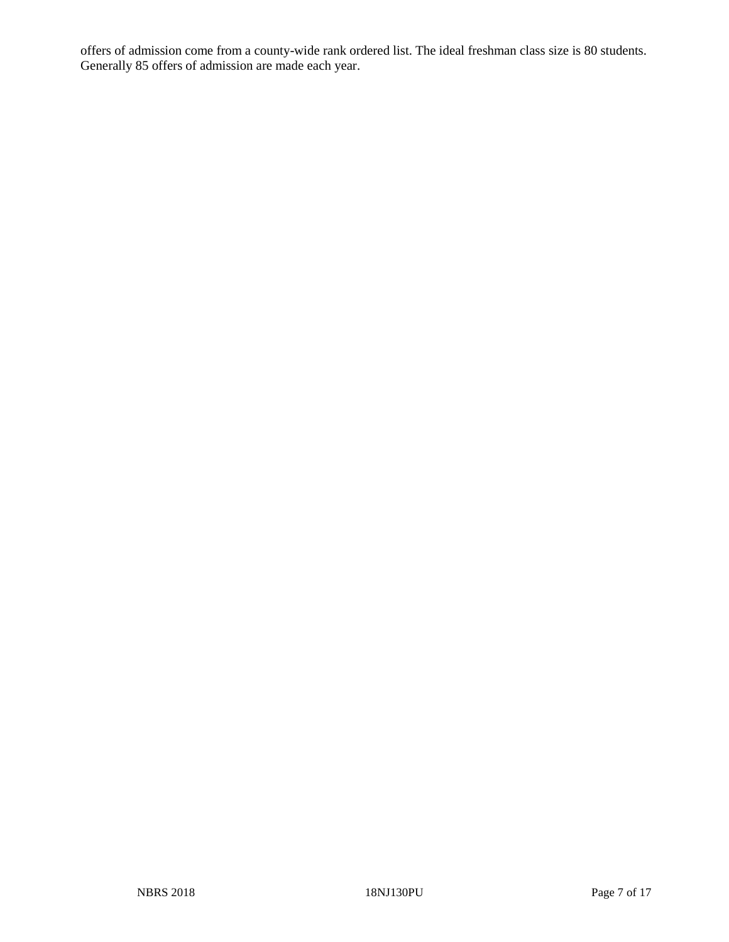offers of admission come from a county-wide rank ordered list. The ideal freshman class size is 80 students. Generally 85 offers of admission are made each year.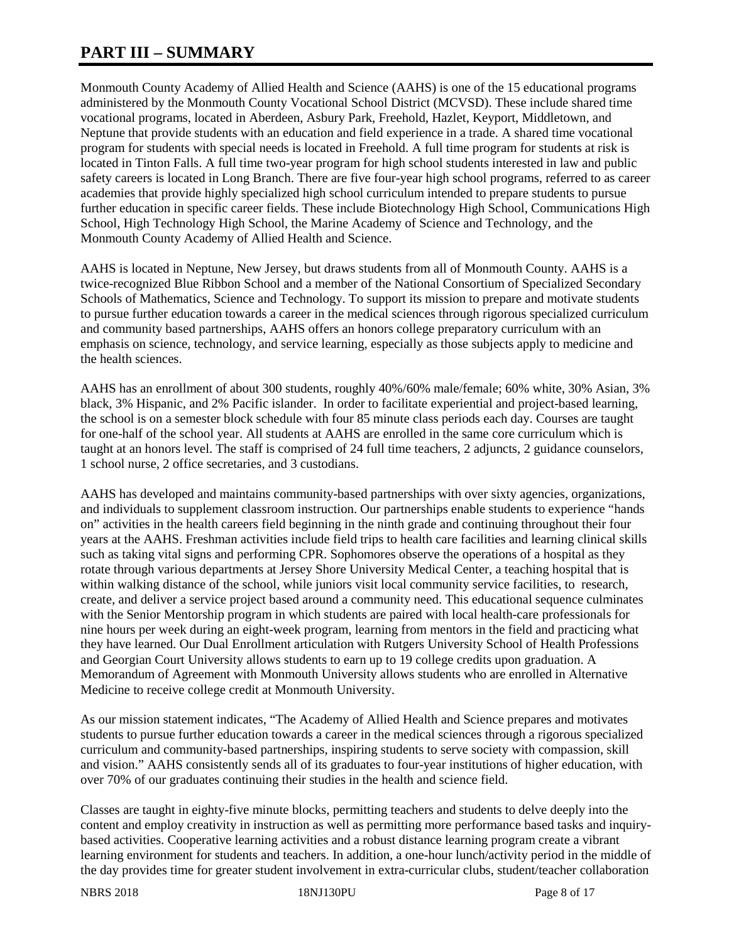# **PART III – SUMMARY**

Monmouth County Academy of Allied Health and Science (AAHS) is one of the 15 educational programs administered by the Monmouth County Vocational School District (MCVSD). These include shared time vocational programs, located in Aberdeen, Asbury Park, Freehold, Hazlet, Keyport, Middletown, and Neptune that provide students with an education and field experience in a trade. A shared time vocational program for students with special needs is located in Freehold. A full time program for students at risk is located in Tinton Falls. A full time two-year program for high school students interested in law and public safety careers is located in Long Branch. There are five four-year high school programs, referred to as career academies that provide highly specialized high school curriculum intended to prepare students to pursue further education in specific career fields. These include Biotechnology High School, Communications High School, High Technology High School, the Marine Academy of Science and Technology, and the Monmouth County Academy of Allied Health and Science.

AAHS is located in Neptune, New Jersey, but draws students from all of Monmouth County. AAHS is a twice-recognized Blue Ribbon School and a member of the National Consortium of Specialized Secondary Schools of Mathematics, Science and Technology. To support its mission to prepare and motivate students to pursue further education towards a career in the medical sciences through rigorous specialized curriculum and community based partnerships, AAHS offers an honors college preparatory curriculum with an emphasis on science, technology, and service learning, especially as those subjects apply to medicine and the health sciences.

AAHS has an enrollment of about 300 students, roughly 40%/60% male/female; 60% white, 30% Asian, 3% black, 3% Hispanic, and 2% Pacific islander. In order to facilitate experiential and project-based learning, the school is on a semester block schedule with four 85 minute class periods each day. Courses are taught for one-half of the school year. All students at AAHS are enrolled in the same core curriculum which is taught at an honors level. The staff is comprised of 24 full time teachers, 2 adjuncts, 2 guidance counselors, 1 school nurse, 2 office secretaries, and 3 custodians.

AAHS has developed and maintains community-based partnerships with over sixty agencies, organizations, and individuals to supplement classroom instruction. Our partnerships enable students to experience "hands on" activities in the health careers field beginning in the ninth grade and continuing throughout their four years at the AAHS. Freshman activities include field trips to health care facilities and learning clinical skills such as taking vital signs and performing CPR. Sophomores observe the operations of a hospital as they rotate through various departments at Jersey Shore University Medical Center, a teaching hospital that is within walking distance of the school, while juniors visit local community service facilities, to research, create, and deliver a service project based around a community need. This educational sequence culminates with the Senior Mentorship program in which students are paired with local health-care professionals for nine hours per week during an eight-week program, learning from mentors in the field and practicing what they have learned. Our Dual Enrollment articulation with Rutgers University School of Health Professions and Georgian Court University allows students to earn up to 19 college credits upon graduation. A Memorandum of Agreement with Monmouth University allows students who are enrolled in Alternative Medicine to receive college credit at Monmouth University.

As our mission statement indicates, "The Academy of Allied Health and Science prepares and motivates students to pursue further education towards a career in the medical sciences through a rigorous specialized curriculum and community-based partnerships, inspiring students to serve society with compassion, skill and vision." AAHS consistently sends all of its graduates to four-year institutions of higher education, with over 70% of our graduates continuing their studies in the health and science field.

Classes are taught in eighty-five minute blocks, permitting teachers and students to delve deeply into the content and employ creativity in instruction as well as permitting more performance based tasks and inquirybased activities. Cooperative learning activities and a robust distance learning program create a vibrant learning environment for students and teachers. In addition, a one-hour lunch/activity period in the middle of the day provides time for greater student involvement in extra-curricular clubs, student/teacher collaboration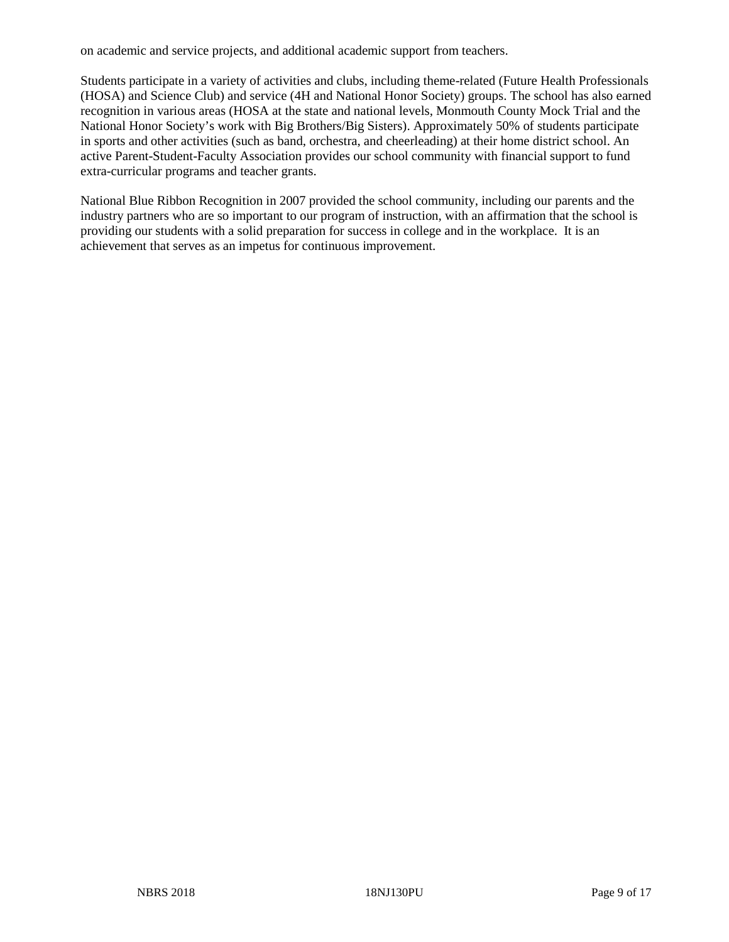on academic and service projects, and additional academic support from teachers.

Students participate in a variety of activities and clubs, including theme-related (Future Health Professionals (HOSA) and Science Club) and service (4H and National Honor Society) groups. The school has also earned recognition in various areas (HOSA at the state and national levels, Monmouth County Mock Trial and the National Honor Society's work with Big Brothers/Big Sisters). Approximately 50% of students participate in sports and other activities (such as band, orchestra, and cheerleading) at their home district school. An active Parent-Student-Faculty Association provides our school community with financial support to fund extra-curricular programs and teacher grants.

National Blue Ribbon Recognition in 2007 provided the school community, including our parents and the industry partners who are so important to our program of instruction, with an affirmation that the school is providing our students with a solid preparation for success in college and in the workplace. It is an achievement that serves as an impetus for continuous improvement.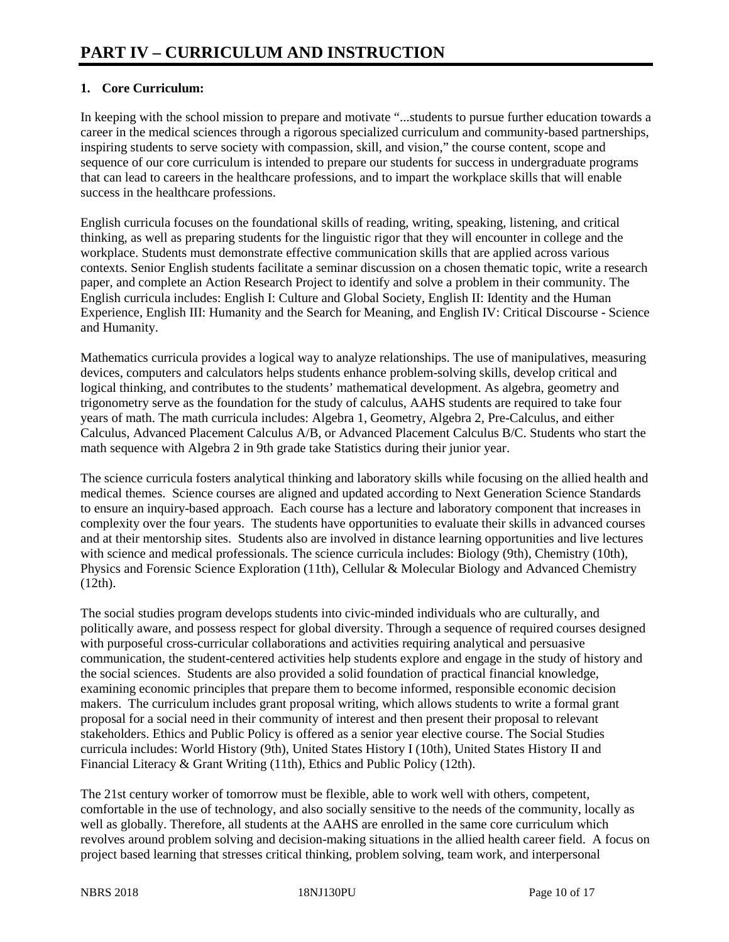## **1. Core Curriculum:**

In keeping with the school mission to prepare and motivate "...students to pursue further education towards a career in the medical sciences through a rigorous specialized curriculum and community-based partnerships, inspiring students to serve society with compassion, skill, and vision," the course content, scope and sequence of our core curriculum is intended to prepare our students for success in undergraduate programs that can lead to careers in the healthcare professions, and to impart the workplace skills that will enable success in the healthcare professions.

English curricula focuses on the foundational skills of reading, writing, speaking, listening, and critical thinking, as well as preparing students for the linguistic rigor that they will encounter in college and the workplace. Students must demonstrate effective communication skills that are applied across various contexts. Senior English students facilitate a seminar discussion on a chosen thematic topic, write a research paper, and complete an Action Research Project to identify and solve a problem in their community. The English curricula includes: English I: Culture and Global Society, English II: Identity and the Human Experience, English III: Humanity and the Search for Meaning, and English IV: Critical Discourse - Science and Humanity.

Mathematics curricula provides a logical way to analyze relationships. The use of manipulatives, measuring devices, computers and calculators helps students enhance problem-solving skills, develop critical and logical thinking, and contributes to the students' mathematical development. As algebra, geometry and trigonometry serve as the foundation for the study of calculus, AAHS students are required to take four years of math. The math curricula includes: Algebra 1, Geometry, Algebra 2, Pre-Calculus, and either Calculus, Advanced Placement Calculus A/B, or Advanced Placement Calculus B/C. Students who start the math sequence with Algebra 2 in 9th grade take Statistics during their junior year.

The science curricula fosters analytical thinking and laboratory skills while focusing on the allied health and medical themes. Science courses are aligned and updated according to Next Generation Science Standards to ensure an inquiry-based approach. Each course has a lecture and laboratory component that increases in complexity over the four years. The students have opportunities to evaluate their skills in advanced courses and at their mentorship sites. Students also are involved in distance learning opportunities and live lectures with science and medical professionals. The science curricula includes: Biology (9th), Chemistry (10th), Physics and Forensic Science Exploration (11th), Cellular & Molecular Biology and Advanced Chemistry (12th).

The social studies program develops students into civic-minded individuals who are culturally, and politically aware, and possess respect for global diversity. Through a sequence of required courses designed with purposeful cross-curricular collaborations and activities requiring analytical and persuasive communication, the student-centered activities help students explore and engage in the study of history and the social sciences. Students are also provided a solid foundation of practical financial knowledge, examining economic principles that prepare them to become informed, responsible economic decision makers. The curriculum includes grant proposal writing, which allows students to write a formal grant proposal for a social need in their community of interest and then present their proposal to relevant stakeholders. Ethics and Public Policy is offered as a senior year elective course. The Social Studies curricula includes: World History (9th), United States History I (10th), United States History II and Financial Literacy & Grant Writing (11th), Ethics and Public Policy (12th).

The 21st century worker of tomorrow must be flexible, able to work well with others, competent, comfortable in the use of technology, and also socially sensitive to the needs of the community, locally as well as globally. Therefore, all students at the AAHS are enrolled in the same core curriculum which revolves around problem solving and decision-making situations in the allied health career field. A focus on project based learning that stresses critical thinking, problem solving, team work, and interpersonal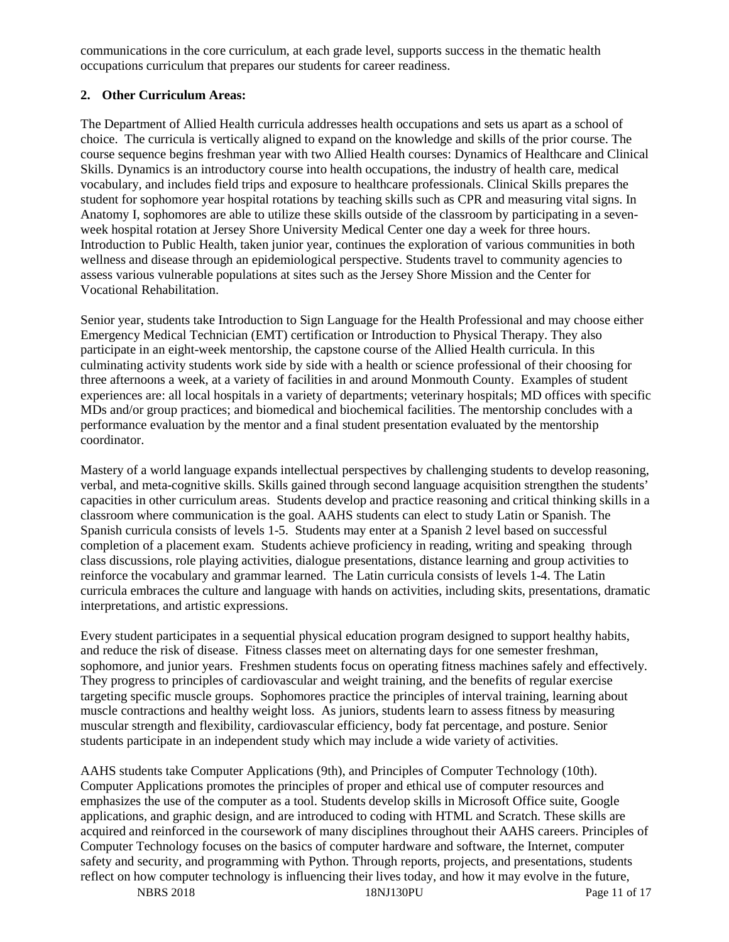communications in the core curriculum, at each grade level, supports success in the thematic health occupations curriculum that prepares our students for career readiness.

#### **2. Other Curriculum Areas:**

The Department of Allied Health curricula addresses health occupations and sets us apart as a school of choice. The curricula is vertically aligned to expand on the knowledge and skills of the prior course. The course sequence begins freshman year with two Allied Health courses: Dynamics of Healthcare and Clinical Skills. Dynamics is an introductory course into health occupations, the industry of health care, medical vocabulary, and includes field trips and exposure to healthcare professionals. Clinical Skills prepares the student for sophomore year hospital rotations by teaching skills such as CPR and measuring vital signs. In Anatomy I, sophomores are able to utilize these skills outside of the classroom by participating in a sevenweek hospital rotation at Jersey Shore University Medical Center one day a week for three hours. Introduction to Public Health, taken junior year, continues the exploration of various communities in both wellness and disease through an epidemiological perspective. Students travel to community agencies to assess various vulnerable populations at sites such as the Jersey Shore Mission and the Center for Vocational Rehabilitation.

Senior year, students take Introduction to Sign Language for the Health Professional and may choose either Emergency Medical Technician (EMT) certification or Introduction to Physical Therapy. They also participate in an eight-week mentorship, the capstone course of the Allied Health curricula. In this culminating activity students work side by side with a health or science professional of their choosing for three afternoons a week, at a variety of facilities in and around Monmouth County. Examples of student experiences are: all local hospitals in a variety of departments; veterinary hospitals; MD offices with specific MDs and/or group practices; and biomedical and biochemical facilities. The mentorship concludes with a performance evaluation by the mentor and a final student presentation evaluated by the mentorship coordinator.

Mastery of a world language expands intellectual perspectives by challenging students to develop reasoning, verbal, and meta-cognitive skills. Skills gained through second language acquisition strengthen the students' capacities in other curriculum areas. Students develop and practice reasoning and critical thinking skills in a classroom where communication is the goal. AAHS students can elect to study Latin or Spanish. The Spanish curricula consists of levels 1-5. Students may enter at a Spanish 2 level based on successful completion of a placement exam. Students achieve proficiency in reading, writing and speaking through class discussions, role playing activities, dialogue presentations, distance learning and group activities to reinforce the vocabulary and grammar learned. The Latin curricula consists of levels 1-4. The Latin curricula embraces the culture and language with hands on activities, including skits, presentations, dramatic interpretations, and artistic expressions.

Every student participates in a sequential physical education program designed to support healthy habits, and reduce the risk of disease. Fitness classes meet on alternating days for one semester freshman, sophomore, and junior years. Freshmen students focus on operating fitness machines safely and effectively. They progress to principles of cardiovascular and weight training, and the benefits of regular exercise targeting specific muscle groups. Sophomores practice the principles of interval training, learning about muscle contractions and healthy weight loss. As juniors, students learn to assess fitness by measuring muscular strength and flexibility, cardiovascular efficiency, body fat percentage, and posture. Senior students participate in an independent study which may include a wide variety of activities.

AAHS students take Computer Applications (9th), and Principles of Computer Technology (10th). Computer Applications promotes the principles of proper and ethical use of computer resources and emphasizes the use of the computer as a tool. Students develop skills in Microsoft Office suite, Google applications, and graphic design, and are introduced to coding with HTML and Scratch. These skills are acquired and reinforced in the coursework of many disciplines throughout their AAHS careers. Principles of Computer Technology focuses on the basics of computer hardware and software, the Internet, computer safety and security, and programming with Python. Through reports, projects, and presentations, students reflect on how computer technology is influencing their lives today, and how it may evolve in the future,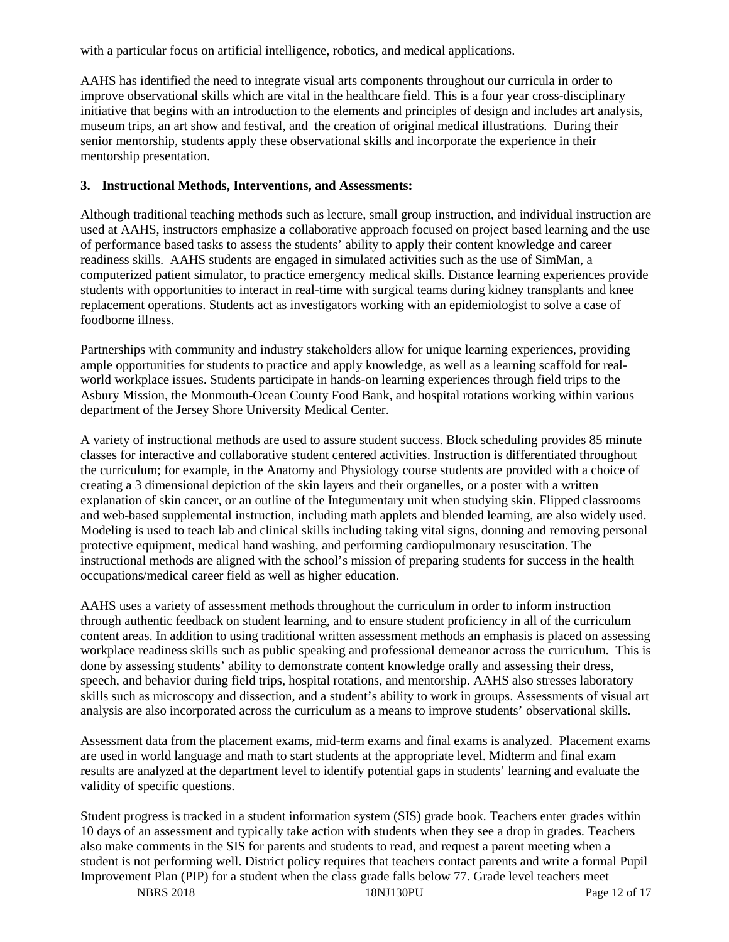with a particular focus on artificial intelligence, robotics, and medical applications.

AAHS has identified the need to integrate visual arts components throughout our curricula in order to improve observational skills which are vital in the healthcare field. This is a four year cross-disciplinary initiative that begins with an introduction to the elements and principles of design and includes art analysis, museum trips, an art show and festival, and the creation of original medical illustrations. During their senior mentorship, students apply these observational skills and incorporate the experience in their mentorship presentation.

#### **3. Instructional Methods, Interventions, and Assessments:**

Although traditional teaching methods such as lecture, small group instruction, and individual instruction are used at AAHS, instructors emphasize a collaborative approach focused on project based learning and the use of performance based tasks to assess the students' ability to apply their content knowledge and career readiness skills. AAHS students are engaged in simulated activities such as the use of SimMan, a computerized patient simulator, to practice emergency medical skills. Distance learning experiences provide students with opportunities to interact in real-time with surgical teams during kidney transplants and knee replacement operations. Students act as investigators working with an epidemiologist to solve a case of foodborne illness.

Partnerships with community and industry stakeholders allow for unique learning experiences, providing ample opportunities for students to practice and apply knowledge, as well as a learning scaffold for realworld workplace issues. Students participate in hands-on learning experiences through field trips to the Asbury Mission, the Monmouth-Ocean County Food Bank, and hospital rotations working within various department of the Jersey Shore University Medical Center.

A variety of instructional methods are used to assure student success. Block scheduling provides 85 minute classes for interactive and collaborative student centered activities. Instruction is differentiated throughout the curriculum; for example, in the Anatomy and Physiology course students are provided with a choice of creating a 3 dimensional depiction of the skin layers and their organelles, or a poster with a written explanation of skin cancer, or an outline of the Integumentary unit when studying skin. Flipped classrooms and web-based supplemental instruction, including math applets and blended learning, are also widely used. Modeling is used to teach lab and clinical skills including taking vital signs, donning and removing personal protective equipment, medical hand washing, and performing cardiopulmonary resuscitation. The instructional methods are aligned with the school's mission of preparing students for success in the health occupations/medical career field as well as higher education.

AAHS uses a variety of assessment methods throughout the curriculum in order to inform instruction through authentic feedback on student learning, and to ensure student proficiency in all of the curriculum content areas. In addition to using traditional written assessment methods an emphasis is placed on assessing workplace readiness skills such as public speaking and professional demeanor across the curriculum. This is done by assessing students' ability to demonstrate content knowledge orally and assessing their dress, speech, and behavior during field trips, hospital rotations, and mentorship. AAHS also stresses laboratory skills such as microscopy and dissection, and a student's ability to work in groups. Assessments of visual art analysis are also incorporated across the curriculum as a means to improve students' observational skills.

Assessment data from the placement exams, mid-term exams and final exams is analyzed. Placement exams are used in world language and math to start students at the appropriate level. Midterm and final exam results are analyzed at the department level to identify potential gaps in students' learning and evaluate the validity of specific questions.

Student progress is tracked in a student information system (SIS) grade book. Teachers enter grades within 10 days of an assessment and typically take action with students when they see a drop in grades. Teachers also make comments in the SIS for parents and students to read, and request a parent meeting when a student is not performing well. District policy requires that teachers contact parents and write a formal Pupil Improvement Plan (PIP) for a student when the class grade falls below 77. Grade level teachers meet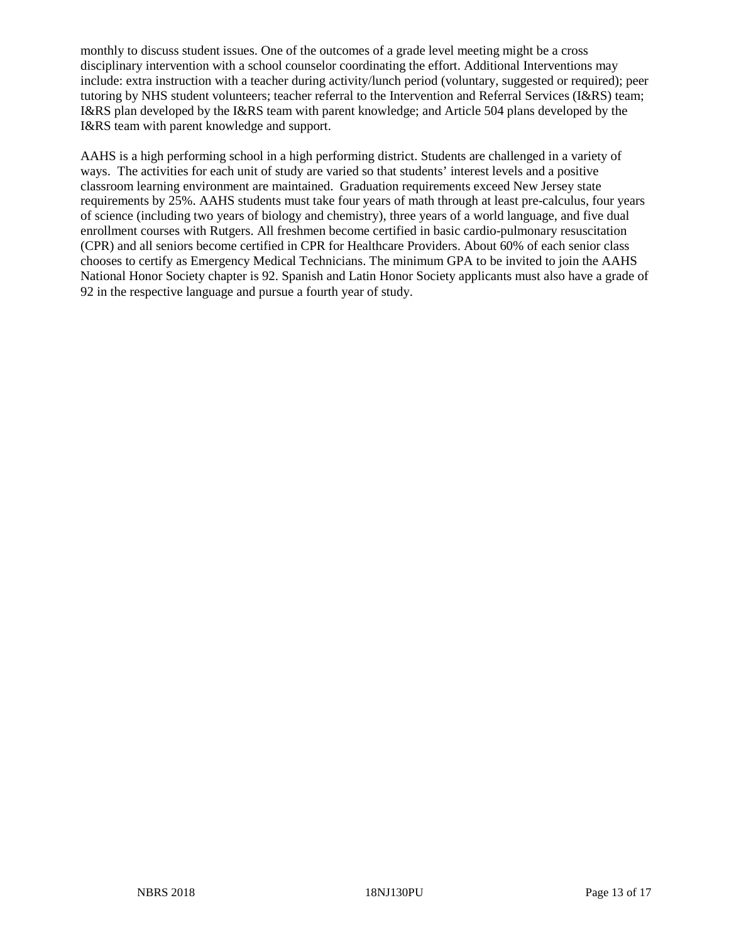monthly to discuss student issues. One of the outcomes of a grade level meeting might be a cross disciplinary intervention with a school counselor coordinating the effort. Additional Interventions may include: extra instruction with a teacher during activity/lunch period (voluntary, suggested or required); peer tutoring by NHS student volunteers; teacher referral to the Intervention and Referral Services (I&RS) team; I&RS plan developed by the I&RS team with parent knowledge; and Article 504 plans developed by the I&RS team with parent knowledge and support.

AAHS is a high performing school in a high performing district. Students are challenged in a variety of ways. The activities for each unit of study are varied so that students' interest levels and a positive classroom learning environment are maintained. Graduation requirements exceed New Jersey state requirements by 25%. AAHS students must take four years of math through at least pre-calculus, four years of science (including two years of biology and chemistry), three years of a world language, and five dual enrollment courses with Rutgers. All freshmen become certified in basic cardio-pulmonary resuscitation (CPR) and all seniors become certified in CPR for Healthcare Providers. About 60% of each senior class chooses to certify as Emergency Medical Technicians. The minimum GPA to be invited to join the AAHS National Honor Society chapter is 92. Spanish and Latin Honor Society applicants must also have a grade of 92 in the respective language and pursue a fourth year of study.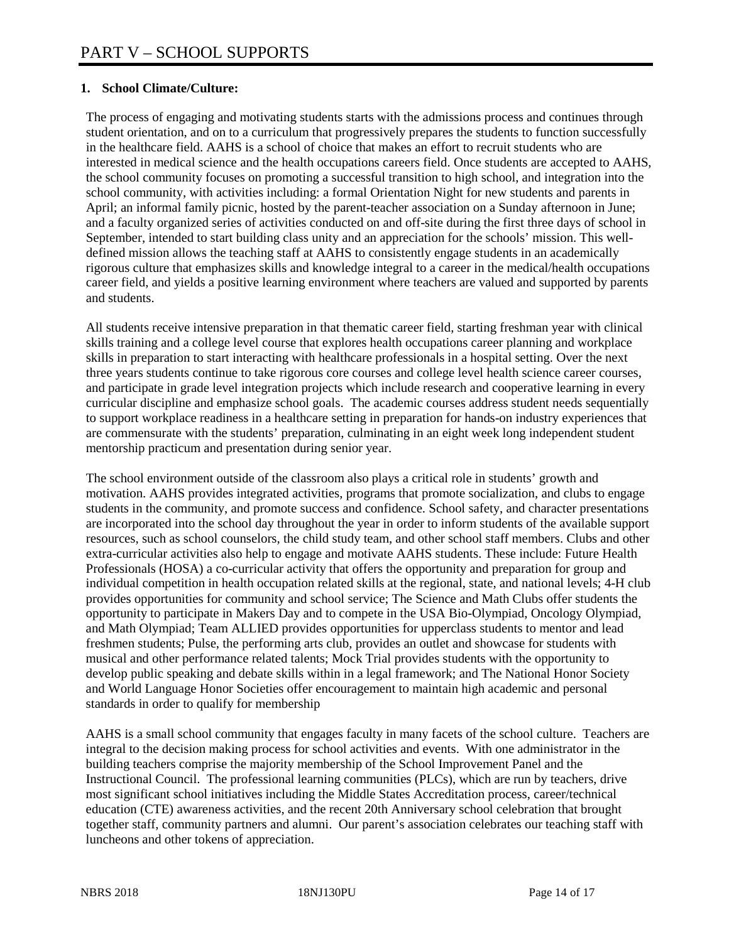#### **1. School Climate/Culture:**

The process of engaging and motivating students starts with the admissions process and continues through student orientation, and on to a curriculum that progressively prepares the students to function successfully in the healthcare field. AAHS is a school of choice that makes an effort to recruit students who are interested in medical science and the health occupations careers field. Once students are accepted to AAHS, the school community focuses on promoting a successful transition to high school, and integration into the school community, with activities including: a formal Orientation Night for new students and parents in April; an informal family picnic, hosted by the parent-teacher association on a Sunday afternoon in June; and a faculty organized series of activities conducted on and off-site during the first three days of school in September, intended to start building class unity and an appreciation for the schools' mission. This welldefined mission allows the teaching staff at AAHS to consistently engage students in an academically rigorous culture that emphasizes skills and knowledge integral to a career in the medical/health occupations career field, and yields a positive learning environment where teachers are valued and supported by parents and students.

All students receive intensive preparation in that thematic career field, starting freshman year with clinical skills training and a college level course that explores health occupations career planning and workplace skills in preparation to start interacting with healthcare professionals in a hospital setting. Over the next three years students continue to take rigorous core courses and college level health science career courses, and participate in grade level integration projects which include research and cooperative learning in every curricular discipline and emphasize school goals. The academic courses address student needs sequentially to support workplace readiness in a healthcare setting in preparation for hands-on industry experiences that are commensurate with the students' preparation, culminating in an eight week long independent student mentorship practicum and presentation during senior year.

The school environment outside of the classroom also plays a critical role in students' growth and motivation. AAHS provides integrated activities, programs that promote socialization, and clubs to engage students in the community, and promote success and confidence. School safety, and character presentations are incorporated into the school day throughout the year in order to inform students of the available support resources, such as school counselors, the child study team, and other school staff members. Clubs and other extra-curricular activities also help to engage and motivate AAHS students. These include: Future Health Professionals (HOSA) a co-curricular activity that offers the opportunity and preparation for group and individual competition in health occupation related skills at the regional, state, and national levels; 4-H club provides opportunities for community and school service; The Science and Math Clubs offer students the opportunity to participate in Makers Day and to compete in the USA Bio-Olympiad, Oncology Olympiad, and Math Olympiad; Team ALLIED provides opportunities for upperclass students to mentor and lead freshmen students; Pulse, the performing arts club, provides an outlet and showcase for students with musical and other performance related talents; Mock Trial provides students with the opportunity to develop public speaking and debate skills within in a legal framework; and The National Honor Society and World Language Honor Societies offer encouragement to maintain high academic and personal standards in order to qualify for membership

AAHS is a small school community that engages faculty in many facets of the school culture. Teachers are integral to the decision making process for school activities and events. With one administrator in the building teachers comprise the majority membership of the School Improvement Panel and the Instructional Council. The professional learning communities (PLCs), which are run by teachers, drive most significant school initiatives including the Middle States Accreditation process, career/technical education (CTE) awareness activities, and the recent 20th Anniversary school celebration that brought together staff, community partners and alumni. Our parent's association celebrates our teaching staff with luncheons and other tokens of appreciation.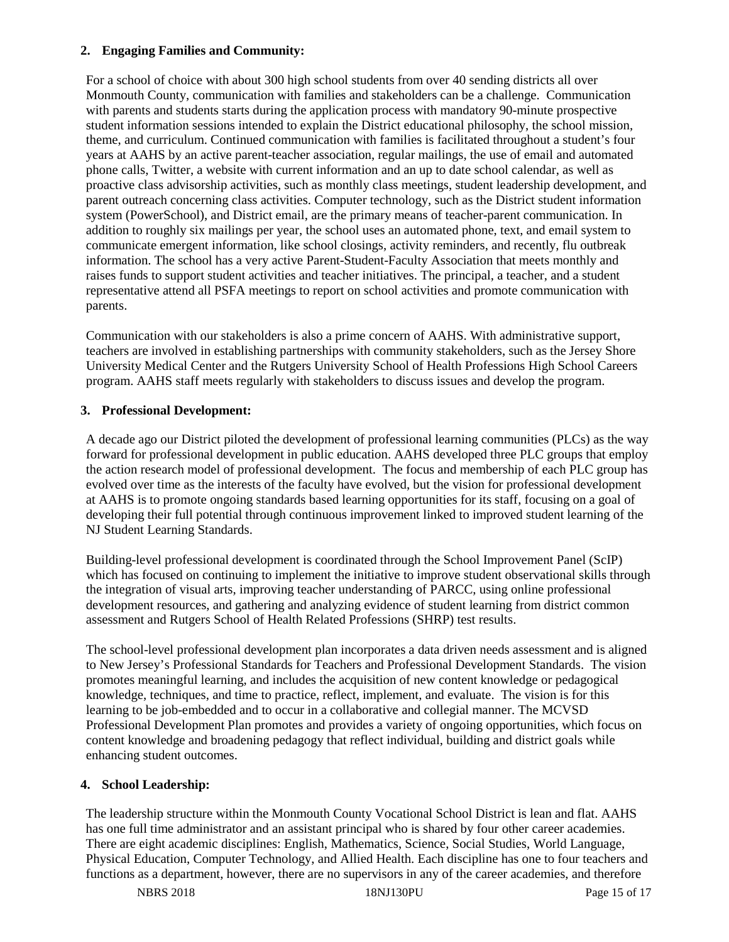#### **2. Engaging Families and Community:**

For a school of choice with about 300 high school students from over 40 sending districts all over Monmouth County, communication with families and stakeholders can be a challenge. Communication with parents and students starts during the application process with mandatory 90-minute prospective student information sessions intended to explain the District educational philosophy, the school mission, theme, and curriculum. Continued communication with families is facilitated throughout a student's four years at AAHS by an active parent-teacher association, regular mailings, the use of email and automated phone calls, Twitter, a website with current information and an up to date school calendar, as well as proactive class advisorship activities, such as monthly class meetings, student leadership development, and parent outreach concerning class activities. Computer technology, such as the District student information system (PowerSchool), and District email, are the primary means of teacher-parent communication. In addition to roughly six mailings per year, the school uses an automated phone, text, and email system to communicate emergent information, like school closings, activity reminders, and recently, flu outbreak information. The school has a very active Parent-Student-Faculty Association that meets monthly and raises funds to support student activities and teacher initiatives. The principal, a teacher, and a student representative attend all PSFA meetings to report on school activities and promote communication with parents.

Communication with our stakeholders is also a prime concern of AAHS. With administrative support, teachers are involved in establishing partnerships with community stakeholders, such as the Jersey Shore University Medical Center and the Rutgers University School of Health Professions High School Careers program. AAHS staff meets regularly with stakeholders to discuss issues and develop the program.

#### **3. Professional Development:**

A decade ago our District piloted the development of professional learning communities (PLCs) as the way forward for professional development in public education. AAHS developed three PLC groups that employ the action research model of professional development. The focus and membership of each PLC group has evolved over time as the interests of the faculty have evolved, but the vision for professional development at AAHS is to promote ongoing standards based learning opportunities for its staff, focusing on a goal of developing their full potential through continuous improvement linked to improved student learning of the NJ Student Learning Standards.

Building-level professional development is coordinated through the School Improvement Panel (ScIP) which has focused on continuing to implement the initiative to improve student observational skills through the integration of visual arts, improving teacher understanding of PARCC, using online professional development resources, and gathering and analyzing evidence of student learning from district common assessment and Rutgers School of Health Related Professions (SHRP) test results.

The school-level professional development plan incorporates a data driven needs assessment and is aligned to New Jersey's Professional Standards for Teachers and Professional Development Standards. The vision promotes meaningful learning, and includes the acquisition of new content knowledge or pedagogical knowledge, techniques, and time to practice, reflect, implement, and evaluate. The vision is for this learning to be job-embedded and to occur in a collaborative and collegial manner. The MCVSD Professional Development Plan promotes and provides a variety of ongoing opportunities, which focus on content knowledge and broadening pedagogy that reflect individual, building and district goals while enhancing student outcomes.

### **4. School Leadership:**

The leadership structure within the Monmouth County Vocational School District is lean and flat. AAHS has one full time administrator and an assistant principal who is shared by four other career academies. There are eight academic disciplines: English, Mathematics, Science, Social Studies, World Language, Physical Education, Computer Technology, and Allied Health. Each discipline has one to four teachers and functions as a department, however, there are no supervisors in any of the career academies, and therefore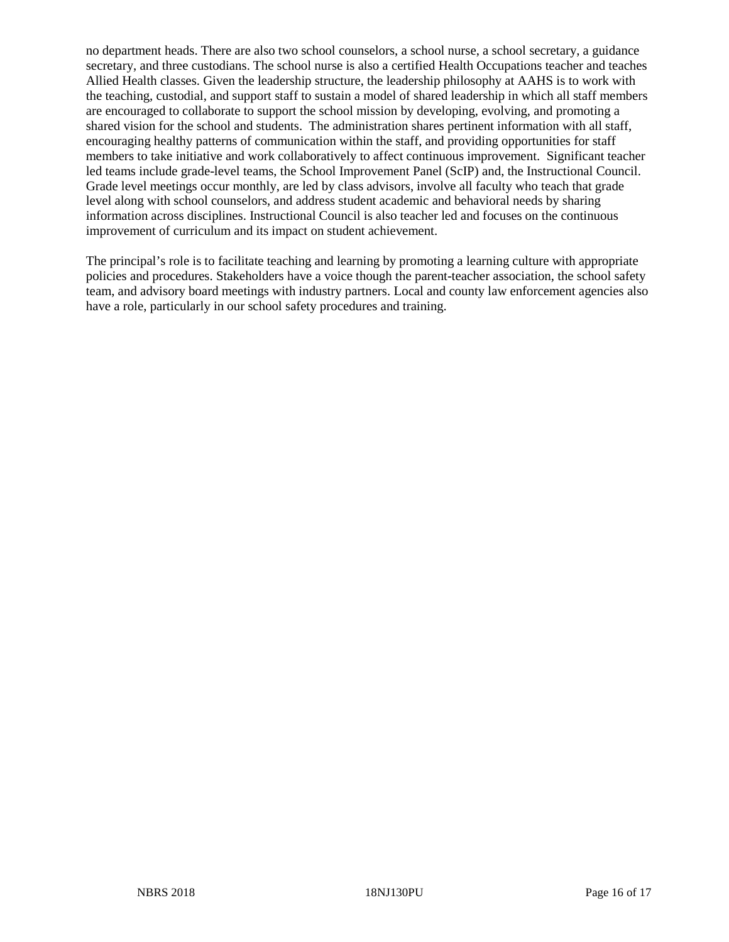no department heads. There are also two school counselors, a school nurse, a school secretary, a guidance secretary, and three custodians. The school nurse is also a certified Health Occupations teacher and teaches Allied Health classes. Given the leadership structure, the leadership philosophy at AAHS is to work with the teaching, custodial, and support staff to sustain a model of shared leadership in which all staff members are encouraged to collaborate to support the school mission by developing, evolving, and promoting a shared vision for the school and students. The administration shares pertinent information with all staff, encouraging healthy patterns of communication within the staff, and providing opportunities for staff members to take initiative and work collaboratively to affect continuous improvement. Significant teacher led teams include grade-level teams, the School Improvement Panel (ScIP) and, the Instructional Council. Grade level meetings occur monthly, are led by class advisors, involve all faculty who teach that grade level along with school counselors, and address student academic and behavioral needs by sharing information across disciplines. Instructional Council is also teacher led and focuses on the continuous improvement of curriculum and its impact on student achievement.

The principal's role is to facilitate teaching and learning by promoting a learning culture with appropriate policies and procedures. Stakeholders have a voice though the parent-teacher association, the school safety team, and advisory board meetings with industry partners. Local and county law enforcement agencies also have a role, particularly in our school safety procedures and training.